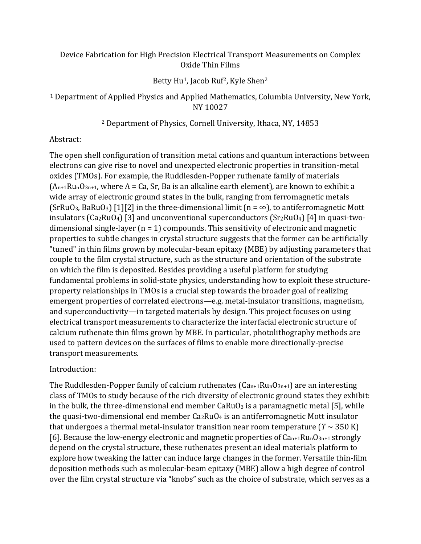# Device Fabrication for High Precision Electrical Transport Measurements on Complex Oxide Thin Films

## Betty Hu<sup>1</sup>, Jacob Ruf<sup>2</sup>, Kyle Shen<sup>2</sup>

<sup>1</sup> Department of Applied Physics and Applied Mathematics, Columbia University, New York, NY 10027

## <sup>2</sup> Department of Physics, Cornell University, Ithaca, NY, 14853

## Abstract:

The open shell configuration of transition metal cations and quantum interactions between electrons can give rise to novel and unexpected electronic properties in transition-metal oxides (TMOs). For example, the Ruddlesden-Popper ruthenate family of materials  $(A_{n+1}Ru_nO_{3n+1}$ , where A = Ca, Sr, Ba is an alkaline earth element), are known to exhibit a wide array of electronic ground states in the bulk, ranging from ferromagnetic metals (SrRuO<sub>3</sub>, BaRuO<sub>3</sub>) [1][2] in the three-dimensional limit (n =  $\infty$ ), to antiferromagnetic Mott insulators (Ca2RuO4) [3] and unconventional superconductors (Sr2RuO4) [4] in quasi-twodimensional single-layer  $(n = 1)$  compounds. This sensitivity of electronic and magnetic properties to subtle changes in crystal structure suggests that the former can be artificially "tuned" in thin films grown by molecular-beam epitaxy (MBE) by adjusting parameters that couple to the film crystal structure, such as the structure and orientation of the substrate on which the film is deposited. Besides providing a useful platform for studying fundamental problems in solid-state physics, understanding how to exploit these structureproperty relationships in TMOs is a crucial step towards the broader goal of realizing emergent properties of correlated electrons—e.g. metal-insulator transitions, magnetism, and superconductivity—in targeted materials by design. This project focuses on using electrical transport measurements to characterize the interfacial electronic structure of calcium ruthenate thin films grown by MBE. In particular, photolithography methods are used to pattern devices on the surfaces of films to enable more directionally-precise transport measurements.

# Introduction:

The Ruddlesden-Popper family of calcium ruthenates ( $Can+1Ru<sub>n</sub>O<sub>3n+1</sub>$ ) are an interesting class of TMOs to study because of the rich diversity of electronic ground states they exhibit: in the bulk, the three-dimensional end member  $CaRuO<sub>3</sub>$  is a paramagnetic metal [5], while the quasi-two-dimensional end member Ca2RuO4 is an antiferromagnetic Mott insulator that undergoes a thermal metal-insulator transition near room temperature ( $T \sim 350$  K) [6]. Because the low-energy electronic and magnetic properties of  $Can+1Ru<sub>n</sub>O<sub>3n+1</sub>$  strongly depend on the crystal structure, these ruthenates present an ideal materials platform to explore how tweaking the latter can induce large changes in the former. Versatile thin-film deposition methods such as molecular-beam epitaxy (MBE) allow a high degree of control over the film crystal structure via "knobs" such as the choice of substrate, which serves as a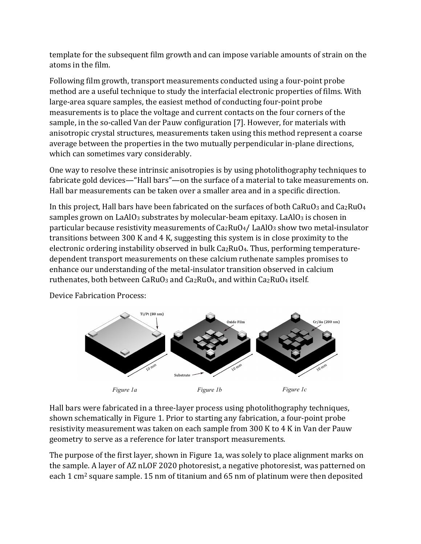template for the subsequent film growth and can impose variable amounts of strain on the atoms in the film.

Following film growth, transport measurements conducted using a four-point probe method are a useful technique to study the interfacial electronic properties of films. With large-area square samples, the easiest method of conducting four-point probe measurements is to place the voltage and current contacts on the four corners of the sample, in the so-called Van der Pauw configuration [7]. However, for materials with anisotropic crystal structures, measurements taken using this method represent a coarse average between the properties in the two mutually perpendicular in-plane directions, which can sometimes vary considerably.

One way to resolve these intrinsic anisotropies is by using photolithography techniques to fabricate gold devices—"Hall bars"—on the surface of a material to take measurements on. Hall bar measurements can be taken over a smaller area and in a specific direction.

In this project, Hall bars have been fabricated on the surfaces of both  $CaRuO<sub>3</sub>$  and  $Ca<sub>2</sub>RuO<sub>4</sub>$ samples grown on LaAlO<sub>3</sub> substrates by molecular-beam epitaxy. LaAlO<sub>3</sub> is chosen in particular because resistivity measurements of Ca2RuO4/ LaAlO3 show two metal-insulator transitions between 300 K and 4 K, suggesting this system is in close proximity to the electronic ordering instability observed in bulk Ca2RuO4. Thus, performing temperaturedependent transport measurements on these calcium ruthenate samples promises to enhance our understanding of the metal-insulator transition observed in calcium ruthenates, both between CaRuO<sub>3</sub> and Ca<sub>2</sub>RuO<sub>4</sub>, and within Ca<sub>2</sub>RuO<sub>4</sub> itself.

Device Fabrication Process:



Hall bars were fabricated in a three-layer process using photolithography techniques, shown schematically in Figure 1. Prior to starting any fabrication, a four-point probe resistivity measurement was taken on each sample from 300 K to 4 K in Van der Pauw geometry to serve as a reference for later transport measurements.

The purpose of the first layer, shown in Figure 1a, was solely to place alignment marks on the sample. A layer of AZ nLOF 2020 photoresist, a negative photoresist, was patterned on each 1 cm2 square sample. 15 nm of titanium and 65 nm of platinum were then deposited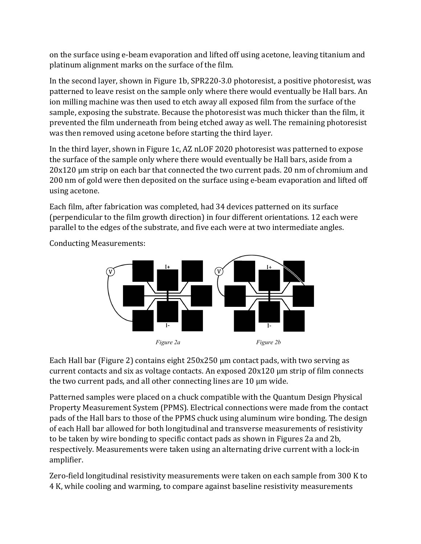on the surface using e-beam evaporation and lifted off using acetone, leaving titanium and platinum alignment marks on the surface of the film.

In the second layer, shown in Figure 1b, SPR220-3.0 photoresist, a positive photoresist, was patterned to leave resist on the sample only where there would eventually be Hall bars. An ion milling machine was then used to etch away all exposed film from the surface of the sample, exposing the substrate. Because the photoresist was much thicker than the film, it prevented the film underneath from being etched away as well. The remaining photoresist was then removed using acetone before starting the third layer.

In the third layer, shown in Figure 1c, AZ nLOF 2020 photoresist was patterned to expose the surface of the sample only where there would eventually be Hall bars, aside from a 20x120 µm strip on each bar that connected the two current pads. 20 nm of chromium and 200 nm of gold were then deposited on the surface using e-beam evaporation and lifted off using acetone.

Each film, after fabrication was completed, had 34 devices patterned on its surface (perpendicular to the film growth direction) in four different orientations. 12 each were parallel to the edges of the substrate, and five each were at two intermediate angles.

*Figure 2a Figure 2b*

Conducting Measurements:

Each Hall bar (Figure 2) contains eight 250x250 µm contact pads, with two serving as current contacts and six as voltage contacts. An exposed 20x120 µm strip of film connects the two current pads, and all other connecting lines are 10 µm wide.

Patterned samples were placed on a chuck compatible with the Quantum Design Physical Property Measurement System (PPMS). Electrical connections were made from the contact pads of the Hall bars to those of the PPMS chuck using aluminum wire bonding. The design of each Hall bar allowed for both longitudinal and transverse measurements of resistivity to be taken by wire bonding to specific contact pads as shown in Figures 2a and 2b, respectively. Measurements were taken using an alternating drive current with a lock-in amplifier.

Zero-field longitudinal resistivity measurements were taken on each sample from 300 K to 4 K, while cooling and warming, to compare against baseline resistivity measurements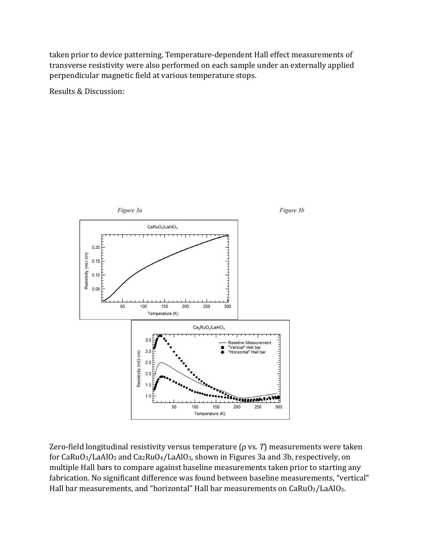taken prior to device patterning. Temperature-dependent Hall effect measurements of transverse resistivity were also performed on each sample under an externally applied perpendicular magnetic field at various temperature stops.

Results & Discussion:



Zero-field longitudinal resistivity versus temperature (ρ vs. *T*) measurements were taken for  $CaRuO<sub>3</sub>/LaAlO<sub>3</sub>$  and  $Ca<sub>2</sub>RuO<sub>4</sub>/LaAlO<sub>3</sub>$ , shown in Figures 3a and 3b, respectively, on multiple Hall bars to compare against baseline measurements taken prior to starting any fabrication. No significant difference was found between baseline measurements, "vertical" Hall bar measurements, and "horizontal" Hall bar measurements on CaRuO3/LaAlO3.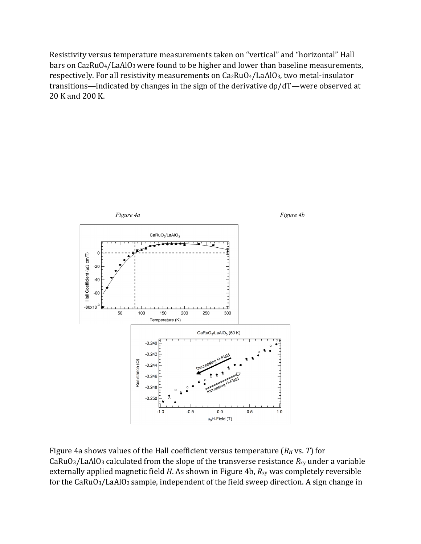Resistivity versus temperature measurements taken on "vertical" and "horizontal" Hall bars on Ca<sub>2</sub>RuO<sub>4</sub>/LaAlO<sub>3</sub> were found to be higher and lower than baseline measurements, respectively. For all resistivity measurements on Ca2RuO4/LaAlO3, two metal-insulator transitions—indicated by changes in the sign of the derivative dρ/dT—were observed at 20 K and 200 K.



Figure 4a shows values of the Hall coefficient versus temperature (*RH* vs. *T*) for CaRuO3/LaAlO3 calculated from the slope of the transverse resistance *R*xy under a variable externally applied magnetic field *H*. As shown in Figure 4b, *R*xy was completely reversible for the CaRuO3/LaAlO3 sample, independent of the field sweep direction. A sign change in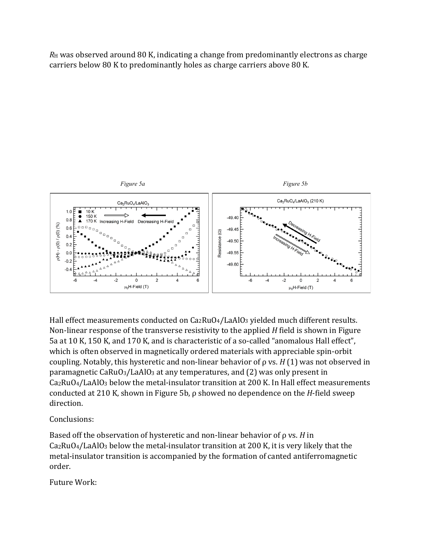*R*<sup>H</sup> was observed around 80 K, indicating a change from predominantly electrons as charge carriers below 80 K to predominantly holes as charge carriers above 80 K.



Hall effect measurements conducted on Ca2RuO4/LaAlO3 yielded much different results. Non-linear response of the transverse resistivity to the applied *H* field is shown in Figure 5a at 10 K, 150 K, and 170 K, and is characteristic of a so-called "anomalous Hall effect", which is often observed in magnetically ordered materials with appreciable spin-orbit coupling. Notably, this hysteretic and non-linear behavior of ρ vs. *H* (1) was not observed in paramagnetic CaRuO3/LaAlO3 at any temperatures, and (2) was only present in Ca2RuO4/LaAlO3 below the metal-insulator transition at 200 K. In Hall effect measurements conducted at 210 K, shown in Figure 5b, ρ showed no dependence on the *H*-field sweep direction.

# Conclusions:

Based off the observation of hysteretic and non-linear behavior of ρ vs. *H* in Ca2RuO4/LaAlO3 below the metal-insulator transition at 200 K, it is very likely that the metal-insulator transition is accompanied by the formation of canted antiferromagnetic order.

# Future Work: